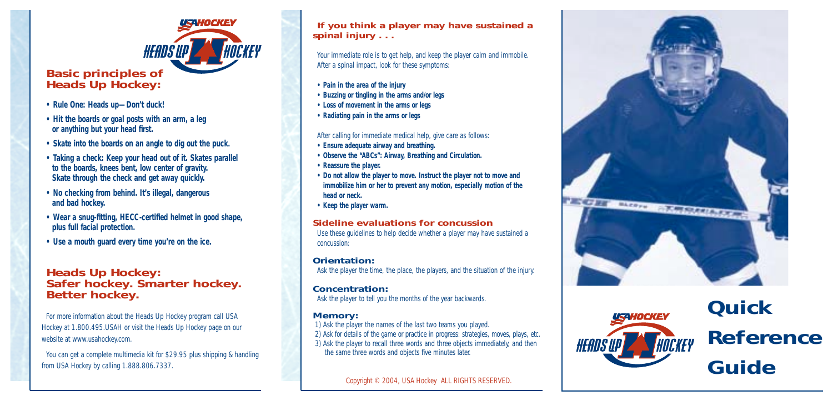# **Basic principles of** *Heads Up Hockey:*

- **Rule One: Heads up—Don't duck!**
- **Hit the boards or goal posts with an arm, a leg or** *anything* **but your head first.**
- **Skate into the boards on an angle to dig out the puck.**

ISAHOCKEY

**HEADS UP <b>AN** 

- **Taking a check: Keep your head out of it. Skates parallel to the boards, knees bent, low center of gravity. Skate through the check and get away quickly.**
- **No checking from behind. It's illegal, dangerous and bad hockey.**
- **Wear a snug-fitting, HECC-certified helmet in good shape, plus full facial protection.**
- **Use a mouth guard every time you're on the ice.**

# *Heads Up Hockey:* **Safer hockey. Smarter hockey. Better hockey.**

For more information about the *Heads Up Hockey* program call USA Hockey at 1.800.495.USAH or visit the Heads Up Hockey page on our website at www.usahockey.com.

You can get a complete multimedia kit for \$29.95 plus shipping & handling from USA Hockey by calling 1.888.806.7337.

### **If you think a player may have sustained a spinal injury . . .**

Your immediate role is to get help, and keep the player calm and immobile. After a spinal impact, look for these symptoms:

- **Pain in the area of the injury**
- **Buzzing or tingling in the arms and/or legs**
- **Loss of movement in the arms or legs**
- **Radiating pain in the arms or legs**

After calling for immediate medical help, give care as follows:

- **Ensure adequate airway and breathing.**
- **Observe the "ABCs": Airway, Breathing and Circulation.**
- **Reassure the player.**
- **Do not allow the player to move. Instruct the player not to move and immobilize him or her to prevent any motion, especially motion of the head or neck.**
- **Keep the player warm.**

### **Sideline evaluations for concussion**

Use these guidelines to help decide whether a player may have sustained a concussion:

#### **Orientation:**

Ask the player the time, the place, the players, and the situation of the injury.

### **Concentration:**

Ask the player to tell you the months of the year backwards.

### **Memory:**

1) Ask the player the names of the last two teams you played. 2) Ask for details of the game or practice in progress: strategies, moves, plays, etc. 3) Ask the player to recall three words and three objects immediately, and then the same three words and objects five minutes later.

Copyright © 2004, USA Hockey ALL RIGHTS RESERVED.